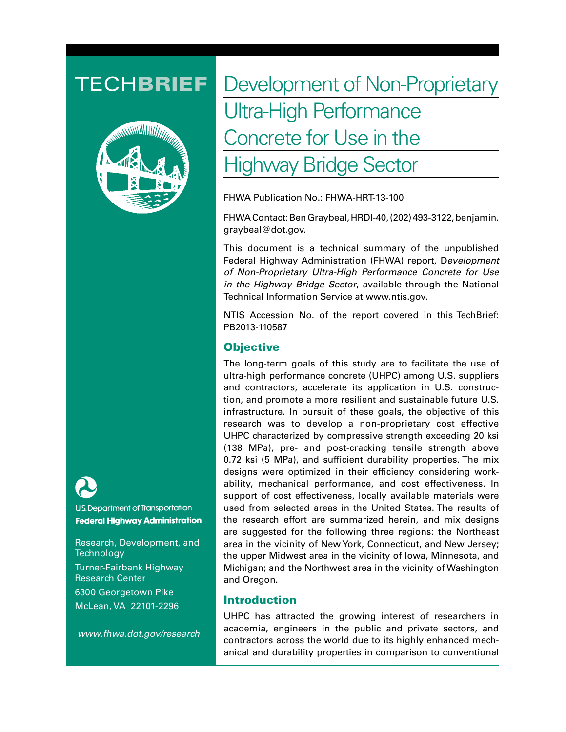

U.S. Department of Transportation **Federal Highway Administration** 

Research, Development, and **Technology** Turner-Fairbank Highway Research Center 6300 Georgetown Pike McLean, VA 22101-2296

 *www.fhwa.dot.gov/research*

# TECHBRIEF Development of Non-Proprietary Ultra-High Performance Concrete for Use in the Highway Bridge Sector

FHWA Publication No.: FHWA-HRT-13-100

FHWA Contact: Ben Graybeal, HRDI-40, (202) 493-3122, benjamin. graybeal@dot.gov.

This document is a technical summary of the unpublished Federal Highway Administration (FHWA) report, D*evelopment of Non-Proprietary Ultra-High Performance Concrete for Use in the Highway Bridge Sector*, available through the National Technical Information Service at www.ntis.gov.

NTIS Accession No. of the report covered in this TechBrief: PB2013-110587

# **Objective**

The long-term goals of this study are to facilitate the use of ultra-high performance concrete (UHPC) among U.S. suppliers and contractors, accelerate its application in U.S. construction, and promote a more resilient and sustainable future U.S. infrastructure. In pursuit of these goals, the objective of this research was to develop a non-proprietary cost effective UHPC characterized by compressive strength exceeding 20 ksi (138 MPa), pre- and post-cracking tensile strength above 0.72 ksi (5 MPa), and sufficient durability properties. The mix designs were optimized in their efficiency considering workability, mechanical performance, and cost effectiveness. In support of cost effectiveness, locally available materials were used from selected areas in the United States. The results of the research effort are summarized herein, and mix designs are suggested for the following three regions: the Northeast area in the vicinity of New York, Connecticut, and New Jersey; the upper Midwest area in the vicinity of Iowa, Minnesota, and Michigan; and the Northwest area in the vicinity of Washington and Oregon.

#### Introduction

UHPC has attracted the growing interest of researchers in academia, engineers in the public and private sectors, and contractors across the world due to its highly enhanced mechanical and durability properties in comparison to conventional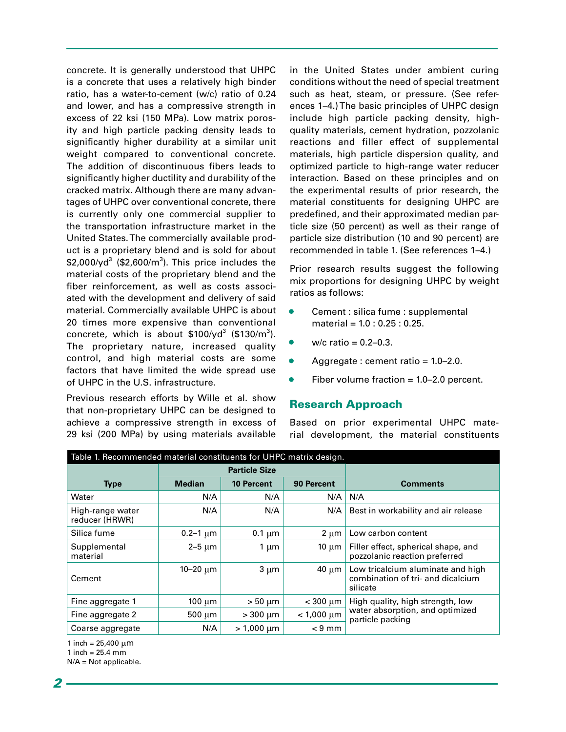concrete. It is generally understood that UHPC is a concrete that uses a relatively high binder ratio, has a water-to-cement (w/c) ratio of 0.24 and lower, and has a compressive strength in excess of 22 ksi (150 MPa). Low matrix porosity and high particle packing density leads to significantly higher durability at a similar unit weight compared to conventional concrete. The addition of discontinuous fibers leads to significantly higher ductility and durability of the cracked matrix. Although there are many advantages of UHPC over conventional concrete, there is currently only one commercial supplier to the transportation infrastructure market in the United States. The commercially available product is a proprietary blend and is sold for about  $$2,000$ /yd $$3$  (\$2,600/m $$3$ ). This price includes the material costs of the proprietary blend and the fiber reinforcement, as well as costs associated with the development and delivery of said material. Commercially available UHPC is about 20 times more expensive than conventional concrete, which is about  $$100$ /yd<sup>3</sup> (\$130/m<sup>3</sup>). The proprietary nature, increased quality control, and high material costs are some factors that have limited the wide spread use of UHPC in the U.S. infrastructure.

Previous research efforts by Wille et al. show that non-proprietary UHPC can be designed to achieve a compressive strength in excess of 29 ksi (200 MPa) by using materials available

in the United States under ambient curing conditions without the need of special treatment such as heat, steam, or pressure. (See references 1–4.) The basic principles of UHPC design include high particle packing density, highquality materials, cement hydration, pozzolanic reactions and filler effect of supplemental materials, high particle dispersion quality, and optimized particle to high-range water reducer interaction. Based on these principles and on the experimental results of prior research, the material constituents for designing UHPC are predefined, and their approximated median particle size (50 percent) as well as their range of particle size distribution (10 and 90 percent) are recommended in table 1. (See references 1–4.)

Prior research results suggest the following mix proportions for designing UHPC by weight ratios as follows:

- Cement : silica fume : supplemental material = 1.0 : 0.25 : 0.25.
- $w/c$  ratio = 0.2–0.3.
- Aggregate : cement ratio = 1.0–2.0.
- Fiber volume fraction  $= 1.0 2.0$  percent.

# Research Approach

Based on prior experimental UHPC material development, the material constituents

| Table 1. Recommended material constituents for UHPC matrix design. |                      |                   |                 |                                                                                         |  |  |
|--------------------------------------------------------------------|----------------------|-------------------|-----------------|-----------------------------------------------------------------------------------------|--|--|
|                                                                    | <b>Particle Size</b> |                   |                 |                                                                                         |  |  |
| <b>Type</b>                                                        | <b>Median</b>        | <b>10 Percent</b> | 90 Percent      | <b>Comments</b>                                                                         |  |  |
| Water                                                              | N/A                  | N/A               | N/A             | N/A                                                                                     |  |  |
| High-range water<br>reducer (HRWR)                                 | N/A                  | N/A               | N/A             | Best in workability and air release                                                     |  |  |
| Silica fume                                                        | $0.2 - 1 \mu m$      | $0.1 \mu m$       | $2 \mu m$       | Low carbon content                                                                      |  |  |
| Supplemental<br>material                                           | $2-5 \mu m$          | 1 $\mu$ m         | 10 $\mu$ m      | Filler effect, spherical shape, and<br>pozzolanic reaction preferred                    |  |  |
| Cement                                                             | $10 - 20 \mu m$      | $3 \mu m$         | $40 \mu m$      | Low tricalcium aluminate and high<br>combination of tri- and dicalcium<br>silicate      |  |  |
| Fine aggregate 1                                                   | 100 $\mu$ m          | $> 50 \mu m$      | $<$ 300 $\mu$ m | High quality, high strength, low<br>water absorption, and optimized<br>particle packing |  |  |
| Fine aggregate 2                                                   | $500 \mu m$          | $>300 \mu m$      | $< 1,000 \mu m$ |                                                                                         |  |  |
| Coarse aggregate                                                   | N/A                  | $> 1,000 \mu m$   | $< 9$ mm        |                                                                                         |  |  |

1 inch =  $25,400 \mu m$ 

1 inch =  $25.4 \, \text{mm}$ 

N/A = Not applicable.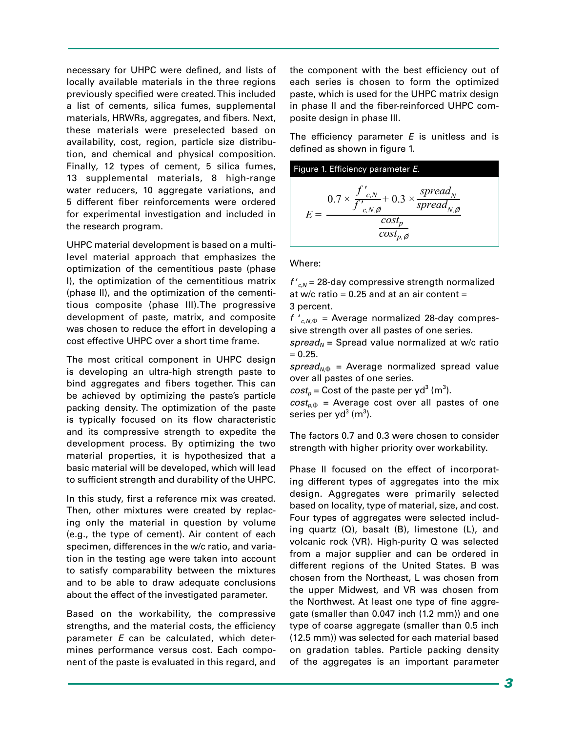necessary for UHPC were defined, and lists of locally available materials in the three regions previously specified were created. This included a list of cements, silica fumes, supplemental materials, HRWRs, aggregates, and fibers. Next, these materials were preselected based on availability, cost, region, particle size distribution, and chemical and physical composition. Finally, 12 types of cement, 5 silica fumes, 13 supplemental materials, 8 high-range water reducers, 10 aggregate variations, and 5 different fiber reinforcements were ordered for experimental investigation and included in the research program.

UHPC material development is based on a multilevel material approach that emphasizes the optimization of the cementitious paste (phase I), the optimization of the cementitious matrix (phase II), and the optimization of the cementitious composite (phase III).The progressive development of paste, matrix, and composite was chosen to reduce the effort in developing a cost effective UHPC over a short time frame.

The most critical component in UHPC design is developing an ultra-high strength paste to bind aggregates and fibers together. This can be achieved by optimizing the paste's particle packing density. The optimization of the paste is typically focused on its flow characteristic and its compressive strength to expedite the development process. By optimizing the two material properties, it is hypothesized that a basic material will be developed, which will lead to sufficient strength and durability of the UHPC.

In this study, first a reference mix was created. Then, other mixtures were created by replacing only the material in question by volume (e.g., the type of cement). Air content of each specimen, differences in the w/c ratio, and variation in the testing age were taken into account to satisfy comparability between the mixtures and to be able to draw adequate conclusions about the effect of the investigated parameter.

Based on the workability, the compressive strengths, and the material costs, the efficiency parameter *E* can be calculated, which determines performance versus cost. Each component of the paste is evaluated in this regard, and the component with the best efficiency out of each series is chosen to form the optimized paste, which is used for the UHPC matrix design in phase II and the fiber-reinforced UHPC composite design in phase III.

The efficiency parameter *E* is unitless and is defined as shown in figure 1.



Where:

 $f'_{c,N}$  = 28-day compressive strength normalized at w/c ratio =  $0.25$  and at an air content = 3 percent.

*f* '*c,N*,Φ = Average normalized 28-day compressive strength over all pastes of one series.

 $spread<sub>N</sub>$  = Spread value normalized at w/c ratio  $= 0.25.$ 

 $spread_{N\Phi}$  = Average normalized spread value over all pastes of one series.

 $cost_p$  = Cost of the paste per yd<sup>3</sup> (m<sup>3</sup>).

 $cost<sub>n</sub>$  = Average cost over all pastes of one series per yd $3$  (m $^3$ ).

The factors 0.7 and 0.3 were chosen to consider strength with higher priority over workability.

Phase II focused on the effect of incorporating different types of aggregates into the mix design. Aggregates were primarily selected based on locality, type of material, size, and cost. Four types of aggregates were selected including quartz (Q), basalt (B), limestone (L), and volcanic rock (VR). High-purity Q was selected from a major supplier and can be ordered in different regions of the United States. B was chosen from the Northeast, L was chosen from the upper Midwest, and VR was chosen from the Northwest. At least one type of fine aggregate (smaller than 0.047 inch (1.2 mm)) and one type of coarse aggregate (smaller than 0.5 inch (12.5 mm)) was selected for each material based on gradation tables. Particle packing density of the aggregates is an important parameter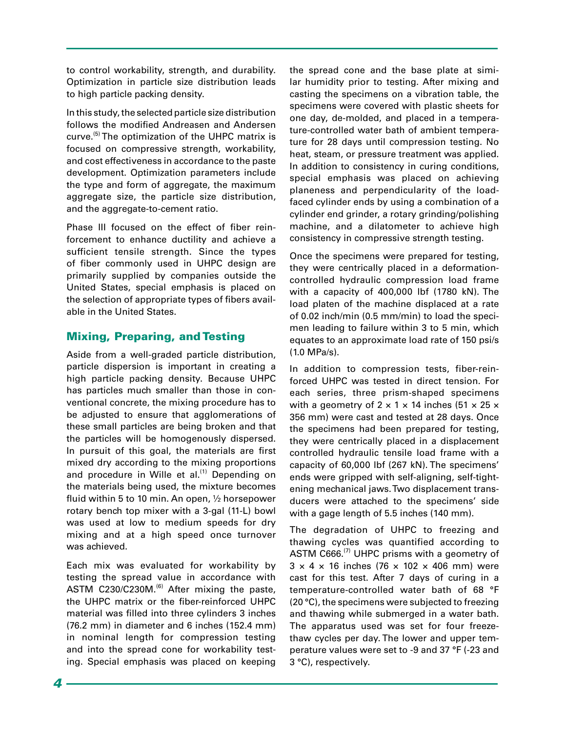to control workability, strength, and durability. Optimization in particle size distribution leads to high particle packing density.

In this study, the selected particle size distribution follows the modified Andreasen and Andersen curve.<sup>(5)</sup> The optimization of the UHPC matrix is focused on compressive strength, workability, and cost effectiveness in accordance to the paste development. Optimization parameters include the type and form of aggregate, the maximum aggregate size, the particle size distribution, and the aggregate-to-cement ratio.

Phase III focused on the effect of fiber reinforcement to enhance ductility and achieve a sufficient tensile strength. Since the types of fiber commonly used in UHPC design are primarily supplied by companies outside the United States, special emphasis is placed on the selection of appropriate types of fibers available in the United States.

# Mixing, Preparing, and Testing

Aside from a well-graded particle distribution, particle dispersion is important in creating a high particle packing density. Because UHPC has particles much smaller than those in conventional concrete, the mixing procedure has to be adjusted to ensure that agglomerations of these small particles are being broken and that the particles will be homogenously dispersed. In pursuit of this goal, the materials are first mixed dry according to the mixing proportions and procedure in Wille et al. $^{(1)}$  Depending on the materials being used, the mixture becomes fluid within 5 to 10 min. An open, ½ horsepower rotary bench top mixer with a 3-gal (11-L) bowl was used at low to medium speeds for dry mixing and at a high speed once turnover was achieved.

Each mix was evaluated for workability by testing the spread value in accordance with ASTM C230/C230M.<sup>(6)</sup> After mixing the paste, the UHPC matrix or the fiber-reinforced UHPC material was filled into three cylinders 3 inches (76.2 mm) in diameter and 6 inches (152.4 mm) in nominal length for compression testing and into the spread cone for workability testing. Special emphasis was placed on keeping the spread cone and the base plate at similar humidity prior to testing. After mixing and casting the specimens on a vibration table, the specimens were covered with plastic sheets for one day, de-molded, and placed in a temperature-controlled water bath of ambient temperature for 28 days until compression testing. No heat, steam, or pressure treatment was applied. In addition to consistency in curing conditions, special emphasis was placed on achieving planeness and perpendicularity of the loadfaced cylinder ends by using a combination of a cylinder end grinder, a rotary grinding/polishing machine, and a dilatometer to achieve high consistency in compressive strength testing.

Once the specimens were prepared for testing, they were centrically placed in a deformationcontrolled hydraulic compression load frame with a capacity of 400,000 lbf (1780 kN). The load platen of the machine displaced at a rate of 0.02 inch/min (0.5 mm/min) to load the specimen leading to failure within 3 to 5 min, which equates to an approximate load rate of 150 psi/s (1.0 MPa/s).

In addition to compression tests, fiber-reinforced UHPC was tested in direct tension. For each series, three prism-shaped specimens with a geometry of  $2 \times 1 \times 14$  inches (51  $\times$  25  $\times$ 356 mm) were cast and tested at 28 days. Once the specimens had been prepared for testing, they were centrically placed in a displacement controlled hydraulic tensile load frame with a capacity of 60,000 lbf (267 kN). The specimens' ends were gripped with self-aligning, self-tightening mechanical jaws. Two displacement transducers were attached to the specimens' side with a gage length of 5.5 inches (140 mm).

The degradation of UHPC to freezing and thawing cycles was quantified according to ASTM  $C666$ .<sup>(7)</sup> UHPC prisms with a geometry of  $3 \times 4 \times 16$  inches (76  $\times$  102  $\times$  406 mm) were cast for this test. After 7 days of curing in a temperature-controlled water bath of 68 °F (20 °C), the specimens were subjected to freezing and thawing while submerged in a water bath. The apparatus used was set for four freezethaw cycles per day. The lower and upper temperature values were set to -9 and 37 °F (-23 and 3 °C), respectively.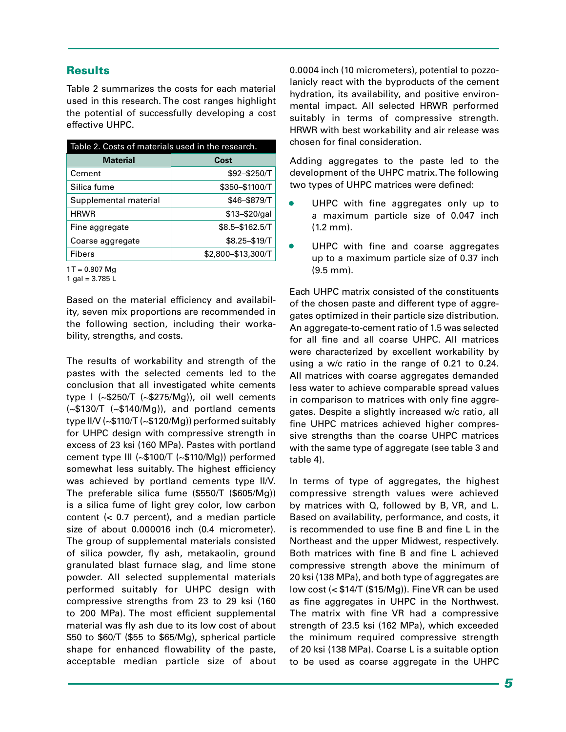#### **Results**

Table 2 summarizes the costs for each material used in this research. The cost ranges highlight the potential of successfully developing a cost effective UHPC.

| Table 2. Costs of materials used in the research. |                    |  |  |
|---------------------------------------------------|--------------------|--|--|
| <b>Material</b>                                   | Cost               |  |  |
| Cement                                            | \$92-\$250/T       |  |  |
| Silica fume                                       | \$350-\$1100/T     |  |  |
| Supplemental material                             | \$46-\$879/T       |  |  |
| <b>HRWR</b>                                       | $$13 - $20/gal$    |  |  |
| Fine aggregate                                    | \$8.5-\$162.5/T    |  |  |
| Coarse aggregate                                  | \$8.25-\$19/T      |  |  |
| <b>Fibers</b>                                     | \$2,800-\$13,300/T |  |  |

 $1 T = 0.907$  Mg

1 gal =  $3.785 L$ 

Based on the material efficiency and availability, seven mix proportions are recommended in the following section, including their workability, strengths, and costs.

The results of workability and strength of the pastes with the selected cements led to the conclusion that all investigated white cements type I (~\$250/T (~\$275/Mg)), oil well cements (~\$130/T (~\$140/Mg)), and portland cements type II/V (~\$110/T (~\$120/Mg)) performed suitably for UHPC design with compressive strength in excess of 23 ksi (160 MPa). Pastes with portland cement type III (~\$100/T (~\$110/Mg)) performed somewhat less suitably. The highest efficiency was achieved by portland cements type II/V. The preferable silica fume (\$550/T (\$605/Mg)) is a silica fume of light grey color, low carbon content (< 0.7 percent), and a median particle size of about 0.000016 inch (0.4 micrometer). The group of supplemental materials consisted of silica powder, fly ash, metakaolin, ground granulated blast furnace slag, and lime stone powder. All selected supplemental materials performed suitably for UHPC design with compressive strengths from 23 to 29 ksi (160 to 200 MPa). The most efficient supplemental material was fly ash due to its low cost of about \$50 to \$60/T (\$55 to \$65/Mg), spherical particle shape for enhanced flowability of the paste, acceptable median particle size of about 0.0004 inch (10 micrometers), potential to pozzolanicly react with the byproducts of the cement hydration, its availability, and positive environmental impact. All selected HRWR performed suitably in terms of compressive strength. HRWR with best workability and air release was chosen for final consideration.

Adding aggregates to the paste led to the development of the UHPC matrix. The following two types of UHPC matrices were defined:

- UHPC with fine aggregates only up to a maximum particle size of 0.047 inch (1.2 mm).
- UHPC with fine and coarse aggregates up to a maximum particle size of 0.37 inch (9.5 mm).

Each UHPC matrix consisted of the constituents of the chosen paste and different type of aggregates optimized in their particle size distribution. An aggregate-to-cement ratio of 1.5 was selected for all fine and all coarse UHPC. All matrices were characterized by excellent workability by using a w/c ratio in the range of 0.21 to 0.24. All matrices with coarse aggregates demanded less water to achieve comparable spread values in comparison to matrices with only fine aggregates. Despite a slightly increased w/c ratio, all fine UHPC matrices achieved higher compressive strengths than the coarse UHPC matrices with the same type of aggregate (see table 3 and table 4).

In terms of type of aggregates, the highest compressive strength values were achieved by matrices with Q, followed by B, VR, and L. Based on availability, performance, and costs, it is recommended to use fine B and fine L in the Northeast and the upper Midwest, respectively. Both matrices with fine B and fine L achieved compressive strength above the minimum of 20 ksi (138 MPa), and both type of aggregates are low cost (< \$14/T (\$15/Mg)). Fine VR can be used as fine aggregates in UHPC in the Northwest. The matrix with fine VR had a compressive strength of 23.5 ksi (162 MPa), which exceeded the minimum required compressive strength of 20 ksi (138 MPa). Coarse L is a suitable option to be used as coarse aggregate in the UHPC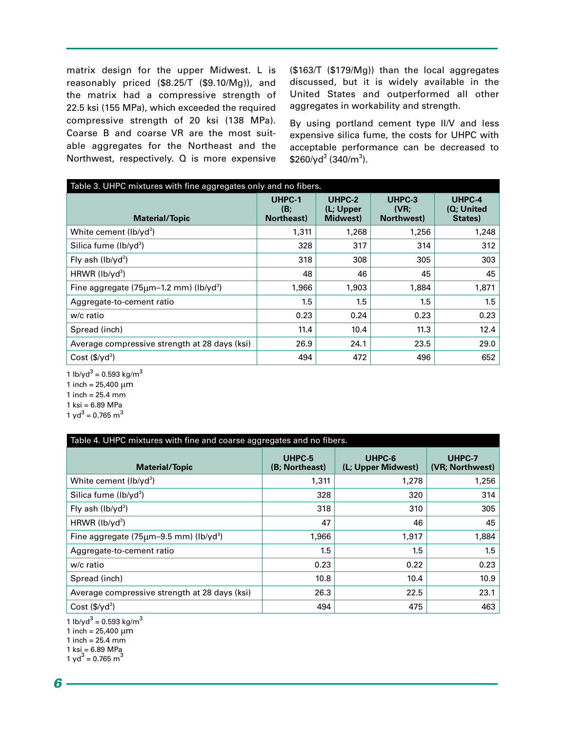matrix design for the upper Midwest. L is reasonably priced (\$8.25/T (\$9.10/Mg)), and the matrix had a compressive strength of 22.5 ksi (155 MPa), which exceeded the required compressive strength of 20 ksi (138 MPa). Coarse B and coarse VR are the most suitable aggregates for the Northeast and the Northwest, respectively. Q is more expensive (\$163/T (\$179/Mg)) than the local aggregates discussed, but it is widely available in the United States and outperformed all other aggregates in workability and strength.

By using portland cement type II/V and less expensive silica fume, the costs for UHPC with acceptable performance can be decreased to  $$260$ /yd $$340/m^3$ ).

| Table 3. UHPC mixtures with fine aggregates only and no fibers. |                             |                                 |                              |                                 |  |
|-----------------------------------------------------------------|-----------------------------|---------------------------------|------------------------------|---------------------------------|--|
| <b>Material/Topic</b>                                           | UHPC-1<br>(B)<br>Northeast) | UHPC-2<br>(L; Upper<br>Midwest) | UHPC-3<br>(VR)<br>Northwest) | UHPC-4<br>(Q; United<br>States) |  |
| White cement (lb/yd <sup>3</sup> )                              | 1,311                       | 1,268                           | 1,256                        | 1,248                           |  |
| Silica fume (lb/yd <sup>3</sup> )                               | 328                         | 317                             | 314                          | 312                             |  |
| Fly ash $(lb/vd^3)$                                             | 318                         | 308                             | 305                          | 303                             |  |
| HRWR $(lb/vd3)$                                                 | 48                          | 46                              | 45                           | 45                              |  |
| Fine aggregate $(75 \mu m - 1.2 \mu m)$ (lb/yd <sup>3</sup> )   | 1,966                       | 1,903                           | 1,884                        | 1,871                           |  |
| Aggregate-to-cement ratio                                       | 1.5                         | 1.5                             | 1.5                          | 1.5                             |  |
| w/c ratio                                                       | 0.23                        | 0.24                            | 0.23                         | 0.23                            |  |
| Spread (inch)                                                   | 11.4                        | 10.4                            | 11.3                         | 12.4                            |  |
| Average compressive strength at 28 days (ksi)                   | 26.9                        | 24.1                            | 23.5                         | 29.0                            |  |
| Cost $(\frac{5}{y}d^3)$                                         | 494                         | 472                             | 496                          | 652                             |  |

1 lb/yd $3$  = 0.593 kg/m $3$ 1 inch =  $25,400 \mu m$ 

1 inch =  $25.4 \, \text{mm}$ 

1 ksi = 6.89 MPa

1 yd<sup>3</sup> = 0.765 m<sup>3</sup>

| Table 4. UHPC mixtures with fine and coarse aggregates and no fibers. |                          |                              |                           |  |
|-----------------------------------------------------------------------|--------------------------|------------------------------|---------------------------|--|
| <b>Material/Topic</b>                                                 | UHPC-5<br>(B; Northeast) | UHPC-6<br>(L; Upper Midwest) | UHPC-7<br>(VR; Northwest) |  |
| White cement $(lb/vd^3)$                                              | 1,311                    | 1,278                        | 1,256                     |  |
| Silica fume $(lb/vd^3)$                                               | 328                      | 320                          | 314                       |  |
| Fly ash $(lb/vd^3)$                                                   | 318                      | 310                          | 305                       |  |
| HRWR ( $lb$ / $yd^3$ )                                                | 47                       | 46                           | 45                        |  |
| Fine aggregate $(75 \mu m - 9.5 \text{ mm})$ (lb/yd <sup>3</sup> )    | 1,966                    | 1,917                        | 1,884                     |  |
| Aggregate-to-cement ratio                                             | 1.5                      | 1.5                          | 1.5                       |  |
| w/c ratio                                                             | 0.23                     | 0.22                         | 0.23                      |  |
| Spread (inch)                                                         | 10.8                     | 10.4                         | 10.9                      |  |
| Average compressive strength at 28 days (ksi)                         | 26.3                     | 22.5                         | 23.1                      |  |
| Cost $(\frac{5}{y}d^3)$                                               | 494                      | 475                          | 463                       |  |

1 lb/yd<sup>3</sup> = 0.593 kg/m<sup>3</sup>

1 inch =  $25,400 \mu m$ 

1 inch =  $25.4 \text{ mm}$ 

1 ksi = 6.89 MPa<br>1 yd<sup>3</sup> = 0.765 m<sup>3</sup>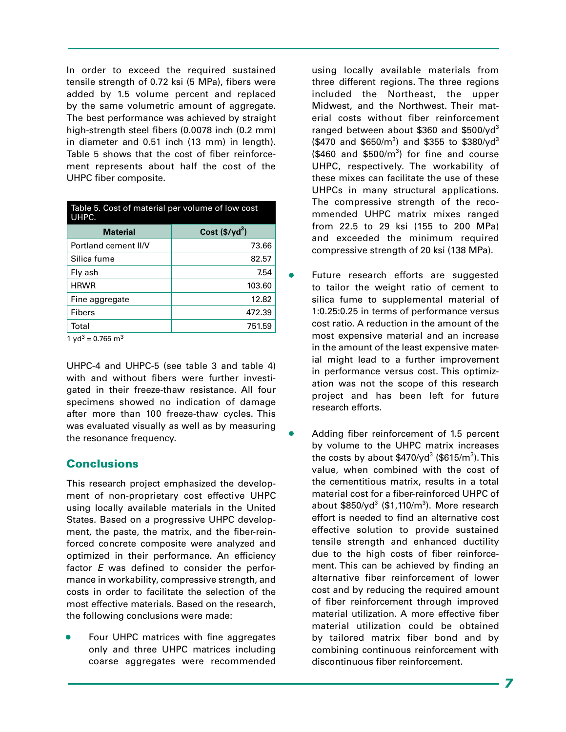In order to exceed the required sustained tensile strength of 0.72 ksi (5 MPa), fibers were added by 1.5 volume percent and replaced by the same volumetric amount of aggregate. The best performance was achieved by straight high-strength steel fibers (0.0078 inch (0.2 mm) in diameter and 0.51 inch (13 mm) in length). Table 5 shows that the cost of fiber reinforcement represents about half the cost of the UHPC fiber composite.

| Table 5. Cost of material per volume of low cost<br>UHPC. |                         |  |
|-----------------------------------------------------------|-------------------------|--|
| <b>Material</b>                                           | Cost $(\frac{6}{y}d^3)$ |  |
| Portland cement II/V                                      | 73.66                   |  |
| Silica fume                                               | 82.57                   |  |
| Fly ash                                                   | 7.54                    |  |
| <b>HRWR</b>                                               | 103.60                  |  |
| Fine aggregate                                            | 12.82                   |  |
| <b>Fibers</b>                                             | 472.39                  |  |
| Total<br>$\sim$                                           | 751.59                  |  |

1 yd<sup>3</sup> = 0.765 m<sup>3</sup>

UHPC-4 and UHPC-5 (see table 3 and table 4) with and without fibers were further investigated in their freeze-thaw resistance. All four specimens showed no indication of damage after more than 100 freeze-thaw cycles. This was evaluated visually as well as by measuring the resonance frequency.

# Conclusions

This research project emphasized the development of non-proprietary cost effective UHPC using locally available materials in the United States. Based on a progressive UHPC development, the paste, the matrix, and the fiber-reinforced concrete composite were analyzed and optimized in their performance. An efficiency factor *E* was defined to consider the performance in workability, compressive strength, and costs in order to facilitate the selection of the most effective materials. Based on the research, the following conclusions were made:

Four UHPC matrices with fine aggregates only and three UHPC matrices including coarse aggregates were recommended

using locally available materials from three different regions. The three regions included the Northeast, the upper Midwest, and the Northwest. Their material costs without fiber reinforcement ranged between about \$360 and \$500/yd<sup>3</sup>  $($470$  and  $$650/m^3$$  and  $$355$  to  $$380/yd^3$$  $($460$  and  $$500/m^3$$  for fine and course UHPC, respectively. The workability of these mixes can facilitate the use of these UHPCs in many structural applications. The compressive strength of the recommended UHPC matrix mixes ranged from 22.5 to 29 ksi (155 to 200 MPa) and exceeded the minimum required compressive strength of 20 ksi (138 MPa).

- Future research efforts are suggested to tailor the weight ratio of cement to silica fume to supplemental material of 1:0.25:0.25 in terms of performance versus cost ratio. A reduction in the amount of the most expensive material and an increase in the amount of the least expensive material might lead to a further improvement in performance versus cost. This optimization was not the scope of this research project and has been left for future research efforts.
- Adding fiber reinforcement of 1.5 percent by volume to the UHPC matrix increases the costs by about \$470/yd $^3$  (\$615/m $^3$ ). This value, when combined with the cost of the cementitious matrix, results in a total material cost for a fiber-reinforced UHPC of about \$850/yd<sup>3</sup> (\$1,110/m<sup>3</sup>). More research effort is needed to find an alternative cost effective solution to provide sustained tensile strength and enhanced ductility due to the high costs of fiber reinforcement. This can be achieved by finding an alternative fiber reinforcement of lower cost and by reducing the required amount of fiber reinforcement through improved material utilization. A more effective fiber material utilization could be obtained by tailored matrix fiber bond and by combining continuous reinforcement with discontinuous fiber reinforcement.